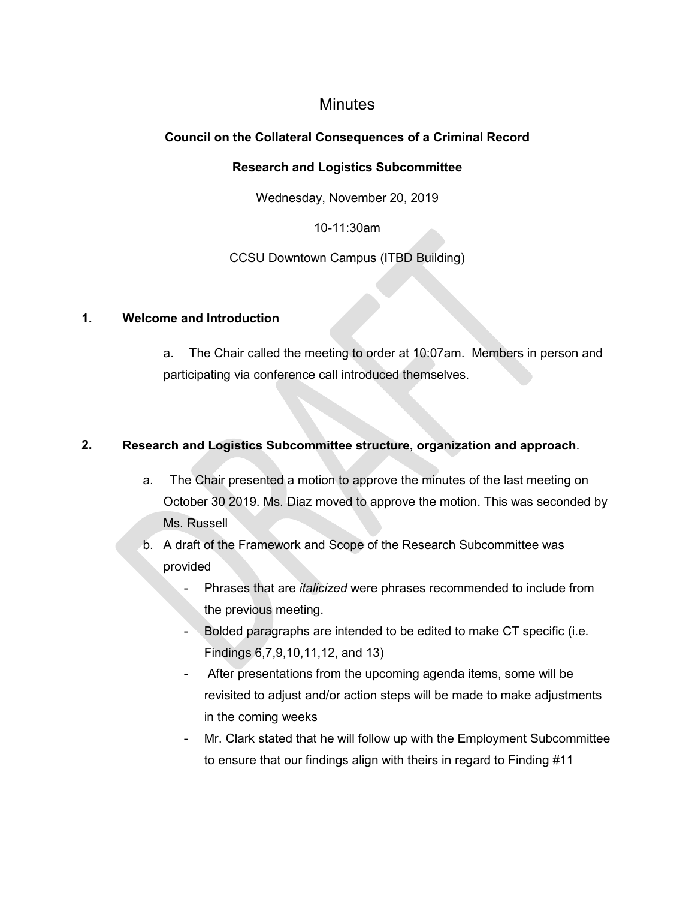# **Minutes**

# **Council on the Collateral Consequences of a Criminal Record**

#### **Research and Logistics Subcommittee**

Wednesday, November 20, 2019

## 10-11:30am

## CCSU Downtown Campus (ITBD Building)

#### **1. Welcome and Introduction**

a. The Chair called the meeting to order at 10:07am. Members in person and participating via conference call introduced themselves.

## **2. Research and Logistics Subcommittee structure, organization and approach**.

- a. The Chair presented a motion to approve the minutes of the last meeting on October 30 2019. Ms. Diaz moved to approve the motion. This was seconded by Ms. Russell
- b. A draft of the Framework and Scope of the Research Subcommittee was provided
	- Phrases that are *italicized* were phrases recommended to include from the previous meeting.
	- Bolded paragraphs are intended to be edited to make CT specific (i.e. Findings 6,7,9,10,11,12, and 13)
	- After presentations from the upcoming agenda items, some will be revisited to adjust and/or action steps will be made to make adjustments in the coming weeks
	- Mr. Clark stated that he will follow up with the Employment Subcommittee to ensure that our findings align with theirs in regard to Finding #11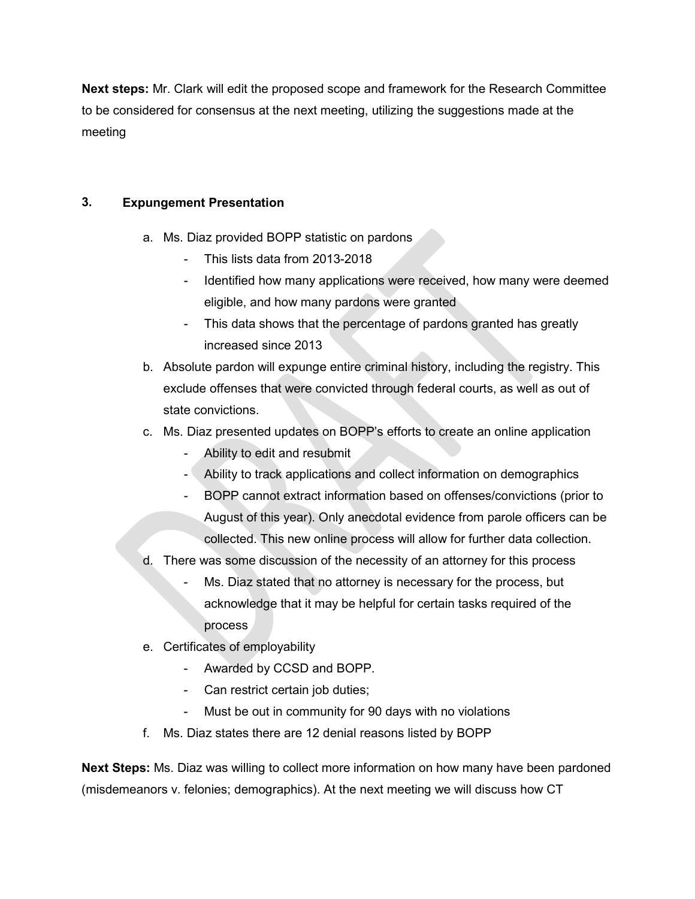**Next steps:** Mr. Clark will edit the proposed scope and framework for the Research Committee to be considered for consensus at the next meeting, utilizing the suggestions made at the meeting

# **3. Expungement Presentation**

- a. Ms. Diaz provided BOPP statistic on pardons
	- This lists data from 2013-2018
	- Identified how many applications were received, how many were deemed eligible, and how many pardons were granted
	- This data shows that the percentage of pardons granted has greatly increased since 2013
- b. Absolute pardon will expunge entire criminal history, including the registry. This exclude offenses that were convicted through federal courts, as well as out of state convictions.
- c. Ms. Diaz presented updates on BOPP's efforts to create an online application
	- Ability to edit and resubmit
	- Ability to track applications and collect information on demographics
	- BOPP cannot extract information based on offenses/convictions (prior to August of this year). Only anecdotal evidence from parole officers can be collected. This new online process will allow for further data collection.
- d. There was some discussion of the necessity of an attorney for this process
	- Ms. Diaz stated that no attorney is necessary for the process, but acknowledge that it may be helpful for certain tasks required of the process
- e. Certificates of employability
	- Awarded by CCSD and BOPP.
	- Can restrict certain job duties;
	- Must be out in community for 90 days with no violations
- f. Ms. Diaz states there are 12 denial reasons listed by BOPP

**Next Steps:** Ms. Diaz was willing to collect more information on how many have been pardoned (misdemeanors v. felonies; demographics). At the next meeting we will discuss how CT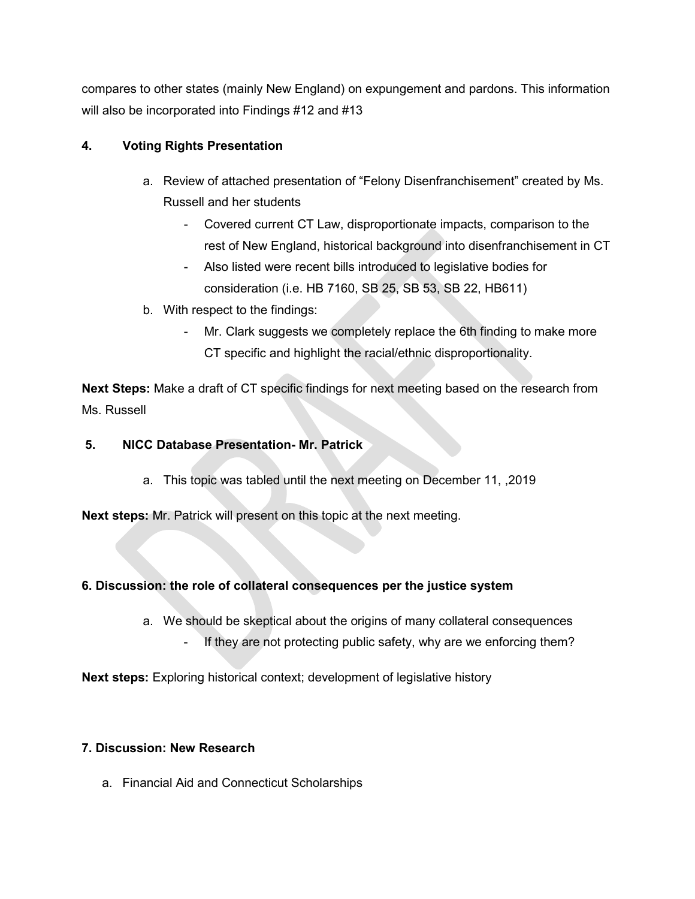compares to other states (mainly New England) on expungement and pardons. This information will also be incorporated into Findings #12 and #13

# **4. Voting Rights Presentation**

- a. Review of attached presentation of "Felony Disenfranchisement" created by Ms. Russell and her students
	- Covered current CT Law, disproportionate impacts, comparison to the rest of New England, historical background into disenfranchisement in CT
	- Also listed were recent bills introduced to legislative bodies for consideration (i.e. HB 7160, SB 25, SB 53, SB 22, HB611)
- b. With respect to the findings:
	- Mr. Clark suggests we completely replace the 6th finding to make more CT specific and highlight the racial/ethnic disproportionality.

**Next Steps:** Make a draft of CT specific findings for next meeting based on the research from Ms. Russell

# **5. NICC Database Presentation- Mr. Patrick**

a. This topic was tabled until the next meeting on December 11, ,2019

**Next steps:** Mr. Patrick will present on this topic at the next meeting.

## **6. Discussion: the role of collateral consequences per the justice system**

- a. We should be skeptical about the origins of many collateral consequences
	- If they are not protecting public safety, why are we enforcing them?

**Next steps:** Exploring historical context; development of legislative history

## **7. Discussion: New Research**

a. Financial Aid and Connecticut Scholarships